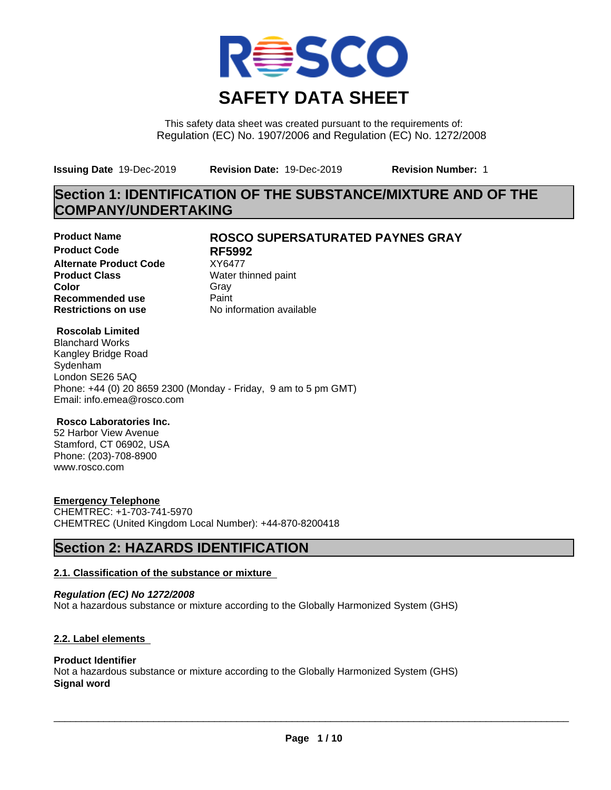

This safety data sheet was created pursuant to the requirements of: Regulation (EC) No. 1907/2006 and Regulation (EC) No. 1272/2008

**Issuing Date** 19-Dec-2019 **Revision Date:** 19-Dec-2019 **Revision Number:** 1

# **Section 1: IDENTIFICATION OF THE SUBSTANCE/MIXTURE AND OF THE COMPANY/UNDERTAKING**

**Product Code RF5992 Alternate Product Code** XY6477<br>**Product Class** Water th **Color** Gray Gray **Recommended use** Paint<br> **Restrictions on use** Mo information available **Restrictions on use** 

## **Product Name ROSCO SUPERSATURATED PAYNES GRAY**

**Water thinned paint** 

#### **Roscolab Limited**

Blanchard Works Kangley Bridge Road Sydenham London SE26 5AQ Phone: +44 (0) 20 8659 2300 (Monday - Friday, 9 am to 5 pm GMT) Email: info.emea@rosco.com

### **Rosco Laboratories Inc.**

52 Harbor View Avenue Stamford, CT 06902, USA Phone: (203)-708-8900 www.rosco.com

### **Emergency Telephone**

CHEMTREC: +1-703-741-5970 CHEMTREC (United Kingdom Local Number): +44-870-8200418

# **Section 2: HAZARDS IDENTIFICATION**

### **2.1. Classification of the substance or mixture**

*Regulation (EC) No 1272/2008* Not a hazardous substance or mixture according to the Globally Harmonized System (GHS)

### **2.2. Label elements**

### **Product Identifier**

Not a hazardous substance or mixture according to the Globally Harmonized System (GHS) **Signal word**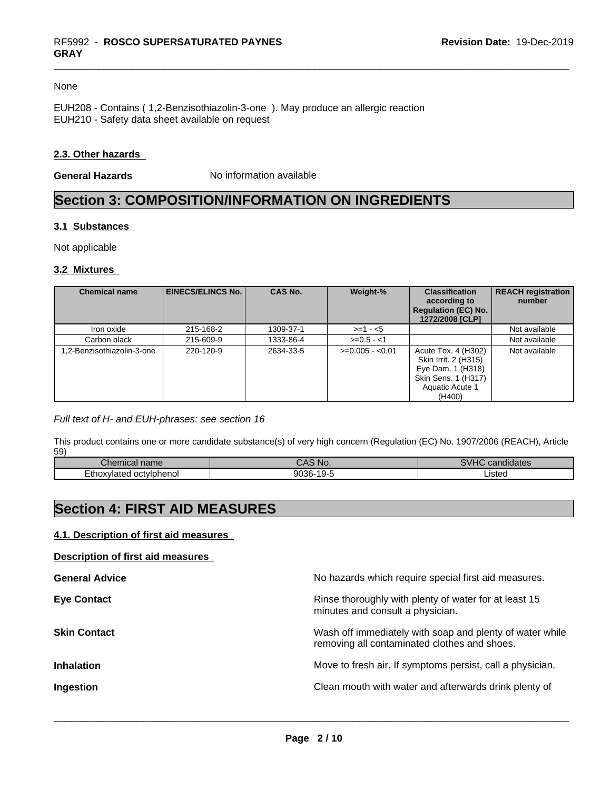#### None

EUH208 - Contains ( 1,2-Benzisothiazolin-3-one ). May produce an allergic reaction EUH210 - Safety data sheet available on request

#### **2.3. Other hazards**

**General Hazards** No information available

# **Section 3: COMPOSITION/INFORMATION ON INGREDIENTS**

#### **3.1 Substances**

Not applicable

#### **3.2 Mixtures**

| <b>Chemical name</b>       | <b>EINECS/ELINCS No. I</b> | <b>CAS No.</b> | Weight-%         | <b>Classification</b><br>according to<br><b>Regulation (EC) No.</b><br>1272/2008 [CLP]                               | <b>REACH registration</b><br>number |
|----------------------------|----------------------------|----------------|------------------|----------------------------------------------------------------------------------------------------------------------|-------------------------------------|
| Iron oxide                 | 215-168-2                  | 1309-37-1      | $>=1 - 5$        |                                                                                                                      | Not available                       |
| Carbon black               | 215-609-9                  | 1333-86-4      | $>=0.5 - 1$      |                                                                                                                      | Not available                       |
| 1.2-Benzisothiazolin-3-one | 220-120-9                  | 2634-33-5      | $>=0.005 - 0.01$ | Acute Tox. 4 (H302)<br>Skin Irrit. 2 (H315)<br>Eye Dam. 1 (H318)<br>Skin Sens. 1 (H317)<br>Aquatic Acute 1<br>(H400) | Not available                       |

#### *Full text of H- and EUH-phrases: see section 16*

This product contains one or more candidate substance(s) of very high concern (Regulation (EC) No. 1907/2006 (REACH), Article 59)

| name<br>⊶ne⊧<br>шыл г                          | Nk<br>.                                                          | <br>$\overline{16}$<br>dates<br>$-222$<br>. анти |
|------------------------------------------------|------------------------------------------------------------------|--------------------------------------------------|
| octvlphenol<br>$\mathcal{L}$<br>Etho:<br>тател | $\sim$ $\sim$<br>200<br>. .<br>$\sim$<br>っしいし<br>$\cdot$ $\cdot$ | ∟isted                                           |

# **Section 4: FIRST AID MEASURES**

#### **4.1. Description of first aid measures**

#### **Description of first aid measures**

| <b>General Advice</b> | No hazards which require special first aid measures.                                                     |
|-----------------------|----------------------------------------------------------------------------------------------------------|
| <b>Eye Contact</b>    | Rinse thoroughly with plenty of water for at least 15<br>minutes and consult a physician.                |
| <b>Skin Contact</b>   | Wash off immediately with soap and plenty of water while<br>removing all contaminated clothes and shoes. |
| <b>Inhalation</b>     | Move to fresh air. If symptoms persist, call a physician.                                                |
| Ingestion             | Clean mouth with water and afterwards drink plenty of                                                    |
|                       |                                                                                                          |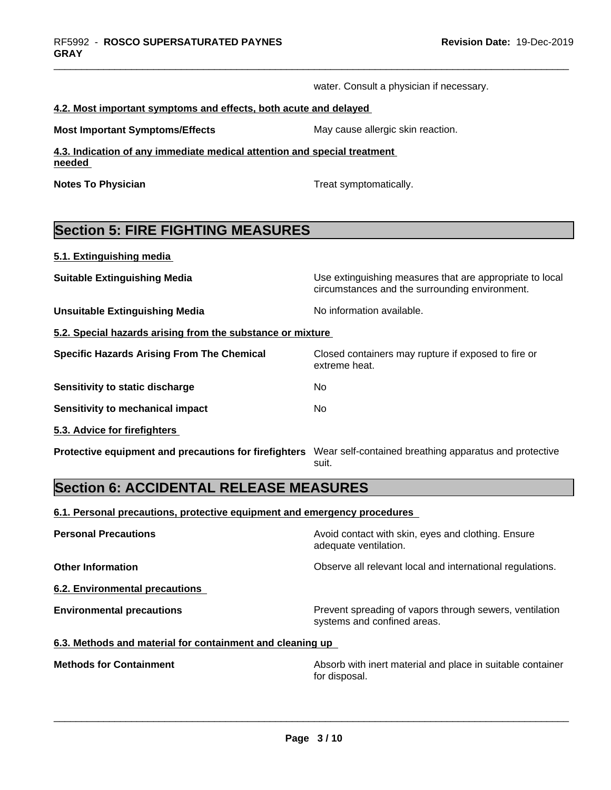water. Consult a physician if necessary.

#### **4.2. Most important symptoms and effects, both acute and delayed**

**Most Important Symptoms/Effects** May cause allergic skin reaction.

**4.3. Indication of any immediate medical attention and special treatment needed** 

**Notes To Physician Treat symptomatically.** Treat symptomatically.

# **Section 5: FIRE FIGHTING MEASURES**

**5.1. Extinguishing media**

**Suitable Extinguishing Media** Use extinguishing measures that are appropriate to local circumstances and the surrounding environment. **Unsuitable Extinguishing Media** Noinformation available. **5.2. Special hazards arising from the substance or mixture Specific Hazards Arising From The Chemical** Closed containers may rupture ifexposed to fire or extreme heat. **Sensitivity to static discharge** No

**Sensitivity to mechanical impact** No

**5.3. Advice for firefighters** 

**Protective equipment and precautions for firefighters** Wear self-contained breathing apparatus and protective suit.

# **Section 6: ACCIDENTAL RELEASE MEASURES**

**6.1. Personal precautions, protective equipment and emergency procedures**

| <b>Personal Precautions</b>                               | Avoid contact with skin, eyes and clothing. Ensure<br>adequate ventilation.            |
|-----------------------------------------------------------|----------------------------------------------------------------------------------------|
| <b>Other Information</b>                                  | Observe all relevant local and international regulations.                              |
| 6.2. Environmental precautions                            |                                                                                        |
| <b>Environmental precautions</b>                          | Prevent spreading of vapors through sewers, ventilation<br>systems and confined areas. |
| 6.3. Methods and material for containment and cleaning up |                                                                                        |

**Methods for Containment Absorb with inert material and place in suitable container Methods** for Container for disposal.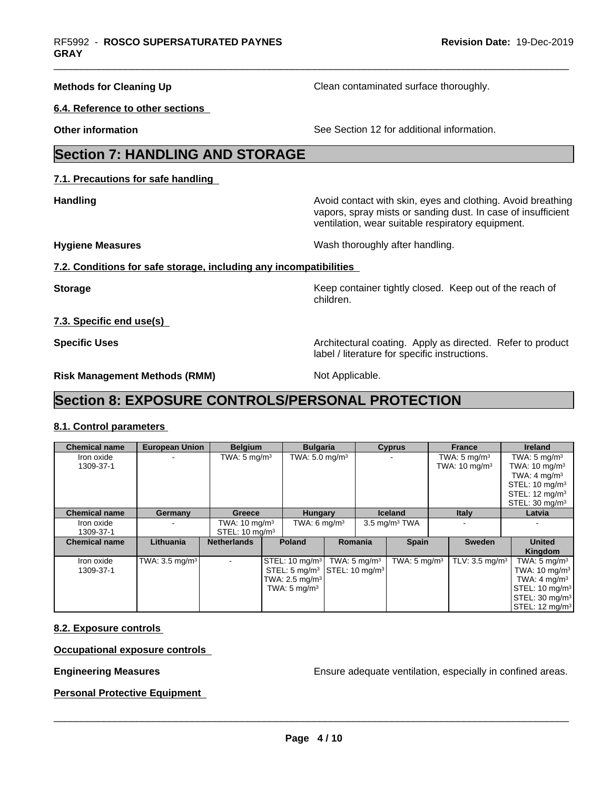**Methods for Cleaning Up Clean contaminated surface thoroughly.** 

**6.4. Reference to other sections**

**Other information** See Section 12 for additional information.

# **Section 7: HANDLING AND STORAGE**

**7.1. Precautions for safe handling**

**Handling Handling Avoid contact with skin, eyes and clothing. Avoid breathing H** vapors, spray mists or sanding dust. In case of insufficient ventilation, wear suitable respiratory equipment.

**Hygiene Measures** Mash thoroughly after handling.

## **7.2. Conditions for safe storage, including any incompatibilities**

**Storage Keep container tightly closed. Keep out of the reach of Keep** container tightly closed. Keep out of the reach of children.

**7.3. Specific end use(s)**

**Specific Uses Architectural coating. Apply as directed. Refer to product Specific Uses Architectural coating. Apply as directed. Refer to product** label / literature for specific instructions.

**Risk Management Methods (RMM)** Not Applicable.

# **Section 8: EXPOSURE CONTROLS/PERSONAL PROTECTION**

## **8.1. Control parameters**

| <b>Chemical name</b>    | <b>European Union</b>                | <b>Belgium</b>                                        |  | <b>Bulgaria</b>                                      |                                                                                                             |                | <b>Cyprus</b>            | <b>France</b>                                       | <b>Ireland</b>                                                                                                                                                                                       |
|-------------------------|--------------------------------------|-------------------------------------------------------|--|------------------------------------------------------|-------------------------------------------------------------------------------------------------------------|----------------|--------------------------|-----------------------------------------------------|------------------------------------------------------------------------------------------------------------------------------------------------------------------------------------------------------|
| Iron oxide<br>1309-37-1 |                                      | TWA: $5 \text{ mg/m}^3$                               |  |                                                      | TWA: $5.0 \text{ mg/m}^3$                                                                                   |                |                          | TWA: $5 \text{ mg/m}^3$<br>TWA: $10 \text{ mg/m}^3$ | TWA: $5 \text{ mg/m}^3$<br>TWA: $10 \text{ mg/m}^3$<br>TWA: $4 \text{ mg/m}^3$<br>STEL: $10 \text{ mg/m}^3$<br>STEL: $12 \text{ mg/m}^3$<br>STEL: $30 \text{ mg/m}^3$                                |
| <b>Chemical name</b>    | Germany                              | Greece                                                |  | <b>Hungary</b>                                       |                                                                                                             | <b>Iceland</b> |                          | <b>Italy</b>                                        | Latvia                                                                                                                                                                                               |
| Iron oxide<br>1309-37-1 |                                      | TWA: $10 \text{ mg/m}^3$<br>STEL: $10 \text{ mg/m}^3$ |  | TWA: 6 $mq/m3$                                       |                                                                                                             |                | $3.5 \text{ mg/m}^3$ TWA |                                                     |                                                                                                                                                                                                      |
| <b>Chemical name</b>    | Lithuania                            | <b>Netherlands</b>                                    |  | <b>Poland</b>                                        |                                                                                                             | <b>Romania</b> | <b>Spain</b>             | <b>Sweden</b>                                       | <b>United</b><br>Kingdom                                                                                                                                                                             |
| Iron oxide<br>1309-37-1 | TWA: $3.5 \text{ mg/m}$ <sup>3</sup> |                                                       |  | TWA: $2.5 \text{ mg/m}^3$<br>TWA: $5 \text{ mg/m}^3$ | STEL: 10 mg/m <sup>3</sup> TWA: 5 mg/m <sup>3</sup><br>STEL: 5 mg/m <sup>3</sup> STEL: 10 mg/m <sup>3</sup> |                | TWA: $5 \text{ mg/m}^3$  | TLV: $3.5 \text{ mg/m}^3$                           | TWA: $5 \text{ mg/m}^3$<br>TWA: $10 \text{ mg/m}^3$<br>TWA: $4 \text{ mg/m}^3$<br>$\vert$ STEL: 10 mg/m <sup>3</sup><br>$\textsf{STEL}: 30 \text{ mg/m}^3$<br>$ \mathsf{STEL:12}\; \mathsf{mg/m^3} $ |

## **8.2. Exposure controls**

**Occupational exposure controls**

**Engineering Measures Ensure** Ensure adequate ventilation, especially in confined areas.

**Personal Protective Equipment**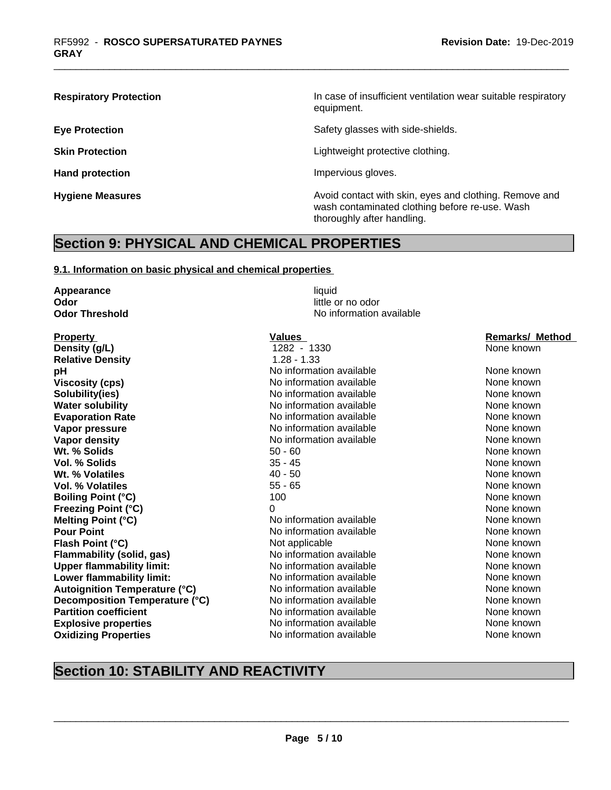**Respiratory Protection In case of insufficient ventilation wear suitable respiratory** equipment.

**Eye Protection** Safety glasses with side-shields.

**Skin Protection Skin Protection Lightweight protective clothing.** 

Hand protection **Impervious** gloves.

**Hygiene Measures Avoid contact with skin, eyes and clothing. Remove and Avoid contact with skin, eyes and clothing. Remove and Avoid contact with skin, eyes and clothing. Remove and** wash contaminated clothing before re-use. Wash thoroughly after handling.

# **Section 9: PHYSICAL AND CHEMICAL PROPERTIES**

#### **9.1. Information on basic physical and chemical properties**

**Appearance** liquid **Odor** little or no odor **Odor Threshold** No information available **Property Construction Construction Construction Values Construction Construction Construction Construction Construction Construction Construction Construction Construction Construction Construction Construction Constr Relative Density** 1.28 - 1.33 **Oxidizing Properties No information available** None known None known

### **Density (g/L)** 1282 - 1330 None known **pH pH** No information available None known None known **Viscosity (cps)** Noinformation available None known None known **Solubility(ies)** No information available None known None known **Water solubility** Note 2008 Monomation available None known None known **Evaporation Rate Notify Algebra 2012 M** No information available **None known** None known **Vapor pressure** Noinformation available None known None known **Vapor density**<br> **We are the CO** information available<br>
Met % Solids
Mone known
Dut . We are the None known
Dut . We are the None known
Dut . We are the None known
Dut . We are the None in the None in the None in the None **Wt. % Solids** Fig. 1. The set of the set of the set of the set of the set of the set of the set of the set of the set of the set of the set of the set of the set of the set of the set of the set of the set of the set of t **Vol. % Solids** 35 - 45 None known **Wt. % Volatiles** 40 - 50 None known **Vol. % Volatiles** 65 - 65 None known **None known Boiling Point (°C)** 100 100 None known **Freezing Point (°C)** 0 None known **Melting Point (°C)** Noinformation available None known **Pour Point** No information available None known None known **Flash Point (°C)** Not applicable Not applicable None known **Flammability (solid, gas)** No information available None known **Upper flammability limit:** No information available None Known None known **Lower flammability limit:** No information available None Known None known **Autoignition Temperature (°C)** No information available None known **Decomposition Temperature (°C)** No information available None None known **Partition coefficient Notifically Community No information available None known** None known **Explosive properties** No information available None known None known

# **Section 10: STABILITY AND REACTIVITY**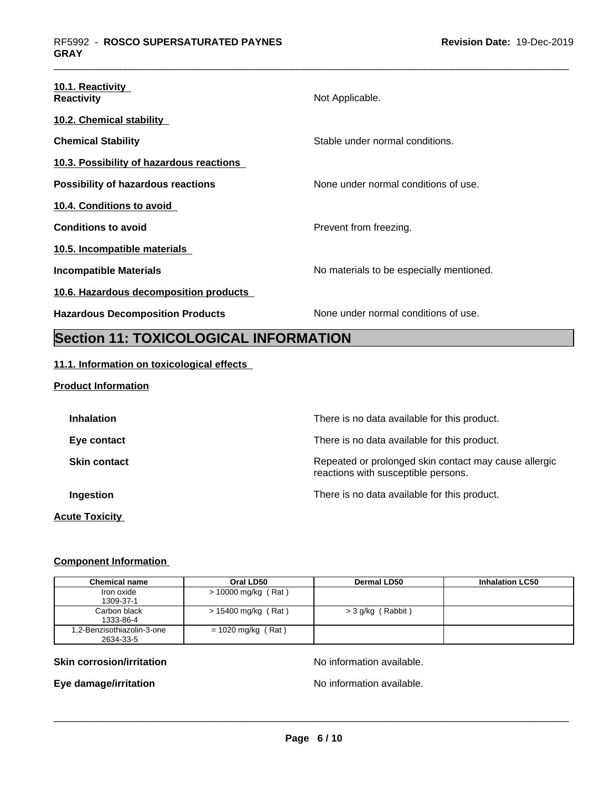| 10.1. Reactivity<br><b>Reactivity</b>     | Not Applicable.                          |
|-------------------------------------------|------------------------------------------|
| 10.2. Chemical stability                  |                                          |
| <b>Chemical Stability</b>                 | Stable under normal conditions.          |
| 10.3. Possibility of hazardous reactions  |                                          |
| <b>Possibility of hazardous reactions</b> | None under normal conditions of use.     |
| 10.4. Conditions to avoid                 |                                          |
| <b>Conditions to avoid</b>                | Prevent from freezing.                   |
| 10.5. Incompatible materials              |                                          |
| Incompatible Materials                    | No materials to be especially mentioned. |
| 10.6. Hazardous decomposition products    |                                          |
| <b>Hazardous Decomposition Products</b>   | None under normal conditions of use.     |

# **Section 11: TOXICOLOGICAL INFORMATION**

## **11.1. Information on toxicological effects**

#### **Product Information**

| <b>Inhalation</b>     | There is no data available for this product.                                                 |
|-----------------------|----------------------------------------------------------------------------------------------|
| Eye contact           | There is no data available for this product.                                                 |
| <b>Skin contact</b>   | Repeated or prolonged skin contact may cause allergic<br>reactions with susceptible persons. |
| Ingestion             | There is no data available for this product.                                                 |
| <b>Acute Toxicity</b> |                                                                                              |

### **Component Information**

| <b>Chemical name</b>                    | Oral LD50             | <b>Dermal LD50</b> | <b>Inhalation LC50</b> |
|-----------------------------------------|-----------------------|--------------------|------------------------|
| Iron oxide<br>1309-37-1                 | $> 10000$ mg/kg (Rat) |                    |                        |
| Carbon black<br>1333-86-4               | $> 15400$ mg/kg (Rat) | > 3 g/kg (Rabbit)  |                        |
| 1,2-Benzisothiazolin-3-one<br>2634-33-5 | $= 1020$ mg/kg (Rat)  |                    |                        |

## **Skin corrosion/irritation No information available.**

**Eye damage/irritation Eye damage/irritation No information available.**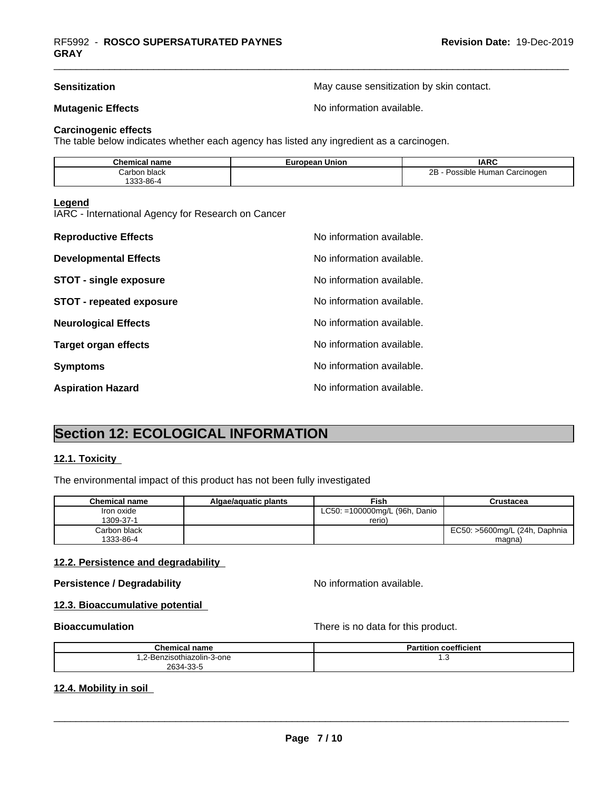**Sensitization** May cause sensitization by skin contact.

**Mutagenic Effects Mutagenic Effects No information available.** 

#### **Carcinogenic effects**

The table below indicates whether each agency has listed any ingredient as a carcinogen.

| Chemical<br>name | $- - - - -$<br>pean Union<br>≞ur∙ | <b>IARC</b>                        |
|------------------|-----------------------------------|------------------------------------|
| Carbon black     |                                   | 2Β<br>Human Carcinogen<br>Possible |
| 333-86-4         |                                   |                                    |

#### **Legend**

IARC - International Agency for Research on Cancer

| <b>Reproductive Effects</b>     | No information available. |
|---------------------------------|---------------------------|
| <b>Developmental Effects</b>    | No information available. |
| <b>STOT - single exposure</b>   | No information available. |
| <b>STOT - repeated exposure</b> | No information available. |
| <b>Neurological Effects</b>     | No information available. |
| <b>Target organ effects</b>     | No information available. |
| <b>Symptoms</b>                 | No information available. |
| <b>Aspiration Hazard</b>        | No information available. |

# **Section 12: ECOLOGICAL INFORMATION**

#### **12.1. Toxicity**

The environmental impact of this product has not been fully investigated

| Chemical name | Algae/aguatic plants | <b>Fish</b>                   | Crustacea                       |
|---------------|----------------------|-------------------------------|---------------------------------|
| Iron oxide    |                      | LC50: =100000mg/L (96h, Danio |                                 |
| 1309-37-1     |                      | rerio)                        |                                 |
| Carbon black  |                      |                               | EC50: >5600mg/L (24h, Daphnia 1 |
| 1333-86-4     |                      |                               | magna                           |

#### **12.2. Persistence and degradability**

#### **Persistence / Degradability** No information available.

 $\overline{\phantom{a}}$  ,  $\overline{\phantom{a}}$  ,  $\overline{\phantom{a}}$  ,  $\overline{\phantom{a}}$  ,  $\overline{\phantom{a}}$  ,  $\overline{\phantom{a}}$  ,  $\overline{\phantom{a}}$  ,  $\overline{\phantom{a}}$  ,  $\overline{\phantom{a}}$  ,  $\overline{\phantom{a}}$  ,  $\overline{\phantom{a}}$  ,  $\overline{\phantom{a}}$  ,  $\overline{\phantom{a}}$  ,  $\overline{\phantom{a}}$  ,  $\overline{\phantom{a}}$  ,  $\overline{\phantom{a}}$ 

#### **12.3. Bioaccumulative potential**

**Bioaccumulation** There is no data for this product.

| <b>Chemical name</b>      | <b>Partition coefficient</b> |
|---------------------------|------------------------------|
| .2-Benzisothiazolin-3-one | ن. ا                         |
| 2634-33-5                 |                              |

#### **12.4. Mobility in soil**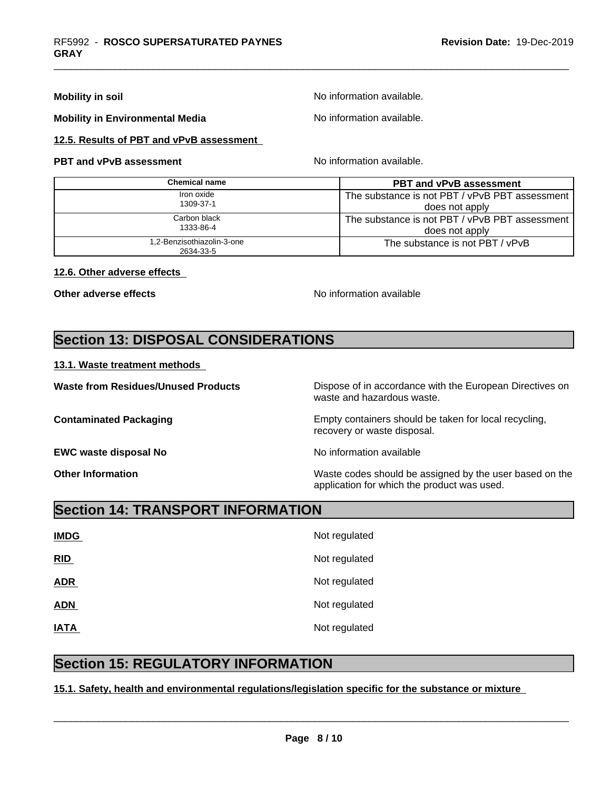#### **Mobility in soil intervalse and intervalse and intervalse Mo** information available.

**Mobility in Environmental Media** Noinformation available.

**12.5. Results of PBT and vPvB assessment**

## **PBT and vPvB assessment No information available.**

| Chemical name              | <b>PBT and vPvB assessment</b>                   |
|----------------------------|--------------------------------------------------|
| Iron oxide<br>1309-37-1    | The substance is not PBT / vPvB PBT assessment I |
|                            | does not apply                                   |
| Carbon black<br>1333-86-4  | The substance is not PBT / vPvB PBT assessment I |
|                            | does not apply                                   |
| 1,2-Benzisothiazolin-3-one | The substance is not PBT / vPvB                  |
| 2634-33-5                  |                                                  |

### **12.6. Other adverse effects**

**Other adverse effects** No information available

# **Section 13: DISPOSAL CONSIDERATIONS**

### **13.1. Waste treatment methods**

**EWC waste disposal No** Noinformation available

**Waste from Residues/Unused Products** Dispose of in accordance with the European Directives on waste and hazardous waste.

**Contaminated Packaging <b>Empty Containers** should be taken for local recycling, recovery or waste disposal.

**Other Information** Waste codes should be assigned by the user based on the application for which the product was used.

# **Section 14: TRANSPORT INFORMATION**

| <b>IMDG</b> | Not regulated |
|-------------|---------------|
| RID         | Not regulated |
| <b>ADR</b>  | Not regulated |
| <b>ADN</b>  | Not regulated |
| <b>IATA</b> | Not regulated |

# **Section 15: REGULATORY INFORMATION**

## **15.1. Safety, health and environmental regulations/legislation specific for the substance or mixture**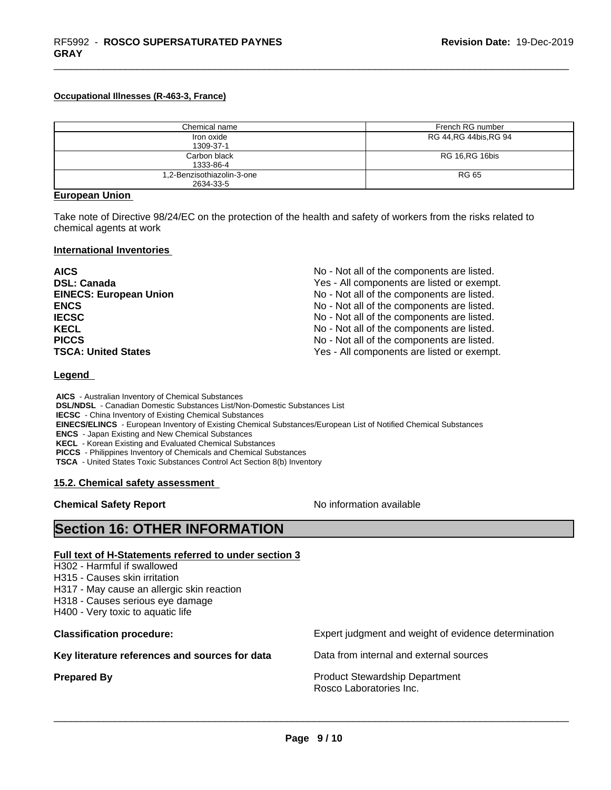#### **Occupational Illnesses (R-463-3, France)**

| Chemical name              | French RG number        |
|----------------------------|-------------------------|
| Iron oxide                 | RG 44, RG 44 bis, RG 94 |
| 1309-37-1                  |                         |
| Carbon black               | <b>RG 16, RG 16bis</b>  |
| 1333-86-4                  |                         |
| 1,2-Benzisothiazolin-3-one | RG 65                   |
| 2634-33-5                  |                         |

#### **European Union**

**GRAY**

Take note of Directive 98/24/EC on the protection of the health and safety of workers from the risks related to chemical agents at work

#### **International Inventories**

| <b>AICS</b>                   | No - Not all of the components are listed. |
|-------------------------------|--------------------------------------------|
| <b>DSL: Canada</b>            | Yes - All components are listed or exempt. |
| <b>EINECS: European Union</b> | No - Not all of the components are listed. |
| <b>ENCS</b>                   | No - Not all of the components are listed. |
| <b>IECSC</b>                  | No - Not all of the components are listed. |
| <b>KECL</b>                   | No - Not all of the components are listed. |
| <b>PICCS</b>                  | No - Not all of the components are listed. |
| <b>TSCA: United States</b>    | Yes - All components are listed or exempt. |

#### **Legend**

 **AICS** - Australian Inventory of Chemical Substances  **DSL/NDSL** - Canadian Domestic Substances List/Non-Domestic Substances List  **IECSC** - China Inventory of Existing Chemical Substances  **EINECS/ELINCS** - European Inventory of Existing Chemical Substances/European List of Notified Chemical Substances  **ENCS** - Japan Existing and New Chemical Substances  **KECL** - Korean Existing and Evaluated Chemical Substances  **PICCS** - Philippines Inventory of Chemicals and Chemical Substances  **TSCA** - United States Toxic Substances Control Act Section 8(b) Inventory

#### **15.2. Chemical safety assessment**

**Chemical Safety Report** No information available

# **Section 16: OTHER INFORMATION**

#### **Full text of H-Statements referred to under section 3**

- H302 Harmful if swallowed
- H315 Causes skin irritation
- H317 May cause an allergic skin reaction
- H318 Causes serious eye damage
- H400 Very toxic to aquatic life

**Key literature references and sources for data** Data from internal and external sources

**Classification procedure:** Expert judgment and weight of evidence determination

**Prepared By Product Stewardship Department** Rosco Laboratories Inc.